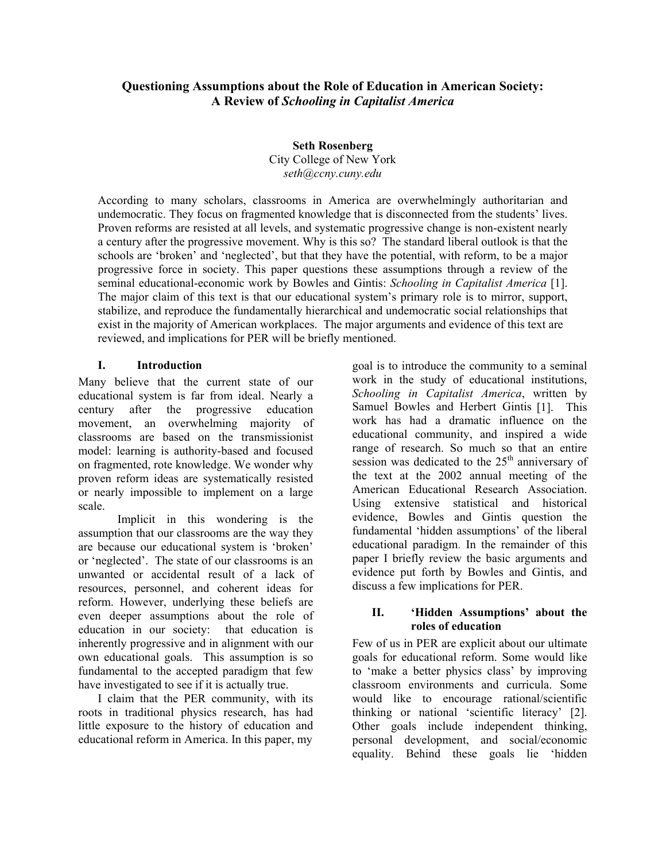# **Questioning Assumptions about the Role of Education in American Society: A Review of** *Schooling in Capitalist America*

**Seth Rosenberg** 

City College of New York *seth@ccny.cuny.edu*

According to many scholars, classrooms in America are overwhelmingly authoritarian and undemocratic. They focus on fragmented knowledge that is disconnected from the students' lives. Proven reforms are resisted at all levels, and systematic progressive change is non-existent nearly a century after the progressive movement. Why is this so? The standard liberal outlook is that the schools are 'broken' and 'neglected', but that they have the potential, with reform, to be a major progressive force in society. This paper questions these assumptions through a review of the seminal educational-economic work by Bowles and Gintis: *Schooling in Capitalist America* [1]. The major claim of this text is that our educational system's primary role is to mirror, support, stabilize, and reproduce the fundamentally hierarchical and undemocratic social relationships that exist in the majority of American workplaces. The major arguments and evidence of this text are reviewed, and implications for PER will be briefly mentioned.

# **I. Introduction**

Many believe that the current state of our educational system is far from ideal. Nearly a century after the progressive education movement, an overwhelming majority of classrooms are based on the transmissionist model: learning is authority-based and focused on fragmented, rote knowledge. We wonder why proven reform ideas are systematically resisted or nearly impossible to implement on a large scale.

Implicit in this wondering is the assumption that our classrooms are the way they are because our educational system is 'broken' or 'neglected'. The state of our classrooms is an unwanted or accidental result of a lack of resources, personnel, and coherent ideas for reform. However, underlying these beliefs are even deeper assumptions about the role of education in our society: that education is inherently progressive and in alignment with our own educational goals. This assumption is so fundamental to the accepted paradigm that few have investigated to see if it is actually true.

I claim that the PER community, with its roots in traditional physics research, has had little exposure to the history of education and educational reform in America. In this paper, my

goal is to introduce the community to a seminal work in the study of educational institutions, *Schooling in Capitalist America*, written by Samuel Bowles and Herbert Gintis [1]. This work has had a dramatic influence on the educational community, and inspired a wide range of research. So much so that an entire session was dedicated to the  $25<sup>th</sup>$  anniversary of the text at the 2002 annual meeting of the American Educational Research Association. Using extensive statistical and historical evidence, Bowles and Gintis question the fundamental 'hidden assumptions' of the liberal educational paradigm. In the remainder of this paper I briefly review the basic arguments and evidence put forth by Bowles and Gintis, and discuss a few implications for PER.

#### **II. 'Hidden Assumptions' about the roles of education**

Few of us in PER are explicit about our ultimate goals for educational reform. Some would like to 'make a better physics class' by improving classroom environments and curricula. Some would like to encourage rational/scientific thinking or national 'scientific literacy' [2]. Other goals include independent thinking, personal development, and social/economic equality. Behind these goals lie 'hidden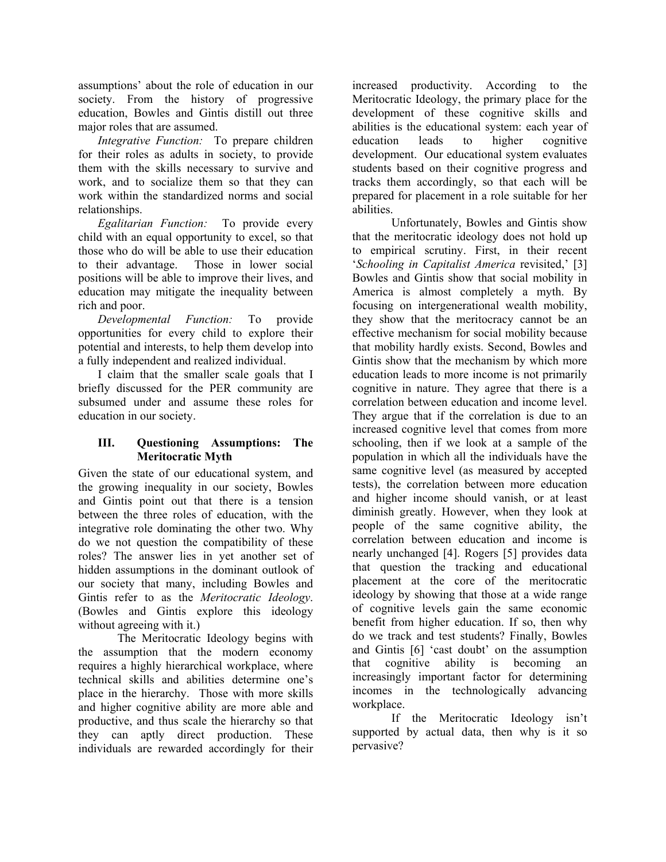assumptions' about the role of education in our society. From the history of progressive education, Bowles and Gintis distill out three major roles that are assumed.

*Integrative Function:* To prepare children for their roles as adults in society, to provide them with the skills necessary to survive and work, and to socialize them so that they can work within the standardized norms and social relationships.

*Egalitarian Function:* To provide every child with an equal opportunity to excel, so that those who do will be able to use their education to their advantage. Those in lower social positions will be able to improve their lives, and education may mitigate the inequality between rich and poor.

*Developmental Function:* To provide opportunities for every child to explore their potential and interests, to help them develop into a fully independent and realized individual.

I claim that the smaller scale goals that I briefly discussed for the PER community are subsumed under and assume these roles for education in our society.

# **III. Questioning Assumptions: The Meritocratic Myth**

Given the state of our educational system, and the growing inequality in our society, Bowles and Gintis point out that there is a tension between the three roles of education, with the integrative role dominating the other two. Why do we not question the compatibility of these roles? The answer lies in yet another set of hidden assumptions in the dominant outlook of our society that many, including Bowles and Gintis refer to as the *Meritocratic Ideology*. (Bowles and Gintis explore this ideology without agreeing with it.)

 The Meritocratic Ideology begins with the assumption that the modern economy requires a highly hierarchical workplace, where technical skills and abilities determine one's place in the hierarchy. Those with more skills and higher cognitive ability are more able and productive, and thus scale the hierarchy so that they can aptly direct production. These individuals are rewarded accordingly for their

increased productivity. According to the Meritocratic Ideology, the primary place for the development of these cognitive skills and abilities is the educational system: each year of education leads to higher cognitive development. Our educational system evaluates students based on their cognitive progress and tracks them accordingly, so that each will be prepared for placement in a role suitable for her abilities.

Unfortunately, Bowles and Gintis show that the meritocratic ideology does not hold up to empirical scrutiny. First, in their recent '*Schooling in Capitalist America* revisited,' [3] Bowles and Gintis show that social mobility in America is almost completely a myth. By focusing on intergenerational wealth mobility, they show that the meritocracy cannot be an effective mechanism for social mobility because that mobility hardly exists. Second, Bowles and Gintis show that the mechanism by which more education leads to more income is not primarily cognitive in nature. They agree that there is a correlation between education and income level. They argue that if the correlation is due to an increased cognitive level that comes from more schooling, then if we look at a sample of the population in which all the individuals have the same cognitive level (as measured by accepted tests), the correlation between more education and higher income should vanish, or at least diminish greatly. However, when they look at people of the same cognitive ability, the correlation between education and income is nearly unchanged [4]. Rogers [5] provides data that question the tracking and educational placement at the core of the meritocratic ideology by showing that those at a wide range of cognitive levels gain the same economic benefit from higher education. If so, then why do we track and test students? Finally, Bowles and Gintis [6] 'cast doubt' on the assumption that cognitive ability is becoming an increasingly important factor for determining incomes in the technologically advancing workplace.

 If the Meritocratic Ideology isn't supported by actual data, then why is it so pervasive?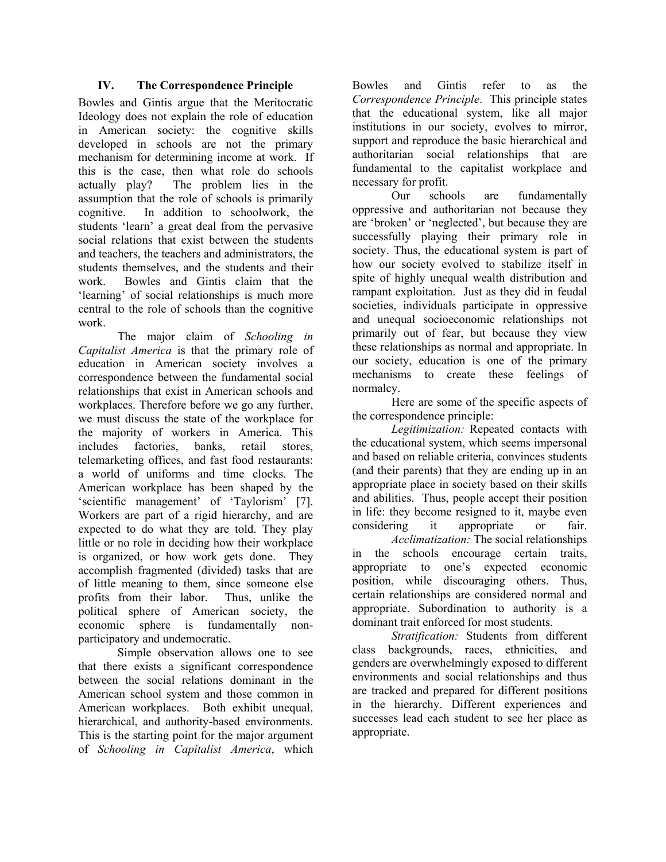# **IV. The Correspondence Principle**

Bowles and Gintis argue that the Meritocratic Ideology does not explain the role of education in American society: the cognitive skills developed in schools are not the primary mechanism for determining income at work. If this is the case, then what role do schools actually play? The problem lies in the assumption that the role of schools is primarily cognitive. In addition to schoolwork, the students 'learn' a great deal from the pervasive social relations that exist between the students and teachers, the teachers and administrators, the students themselves, and the students and their work. Bowles and Gintis claim that the 'learning' of social relationships is much more central to the role of schools than the cognitive work.

 The major claim of *Schooling in Capitalist America* is that the primary role of education in American society involves a correspondence between the fundamental social relationships that exist in American schools and workplaces. Therefore before we go any further, we must discuss the state of the workplace for the majority of workers in America. This includes factories, banks, retail stores, telemarketing offices, and fast food restaurants: a world of uniforms and time clocks. The American workplace has been shaped by the 'scientific management' of 'Taylorism' [7]. Workers are part of a rigid hierarchy, and are expected to do what they are told. They play little or no role in deciding how their workplace is organized, or how work gets done. They accomplish fragmented (divided) tasks that are of little meaning to them, since someone else profits from their labor. Thus, unlike the political sphere of American society, the economic sphere is fundamentally nonparticipatory and undemocratic.

Simple observation allows one to see that there exists a significant correspondence between the social relations dominant in the American school system and those common in American workplaces. Both exhibit unequal, hierarchical, and authority-based environments. This is the starting point for the major argument of *Schooling in Capitalist America*, which

Bowles and Gintis refer to as the *Correspondence Principle*. This principle states that the educational system, like all major institutions in our society, evolves to mirror, support and reproduce the basic hierarchical and authoritarian social relationships that are fundamental to the capitalist workplace and necessary for profit.

Our schools are fundamentally oppressive and authoritarian not because they are 'broken' or 'neglected', but because they are successfully playing their primary role in society. Thus, the educational system is part of how our society evolved to stabilize itself in spite of highly unequal wealth distribution and rampant exploitation. Just as they did in feudal societies, individuals participate in oppressive and unequal socioeconomic relationships not primarily out of fear, but because they view these relationships as normal and appropriate. In our society, education is one of the primary mechanisms to create these feelings of normalcy.

Here are some of the specific aspects of the correspondence principle:

*Legitimization:* Repeated contacts with the educational system, which seems impersonal and based on reliable criteria, convinces students (and their parents) that they are ending up in an appropriate place in society based on their skills and abilities. Thus, people accept their position in life: they become resigned to it, maybe even considering it appropriate or fair.

*Acclimatization:* The social relationships in the schools encourage certain traits, appropriate to one's expected economic position, while discouraging others. Thus, certain relationships are considered normal and appropriate. Subordination to authority is a dominant trait enforced for most students.

*Stratification:* Students from different class backgrounds, races, ethnicities, and genders are overwhelmingly exposed to different environments and social relationships and thus are tracked and prepared for different positions in the hierarchy. Different experiences and successes lead each student to see her place as appropriate.